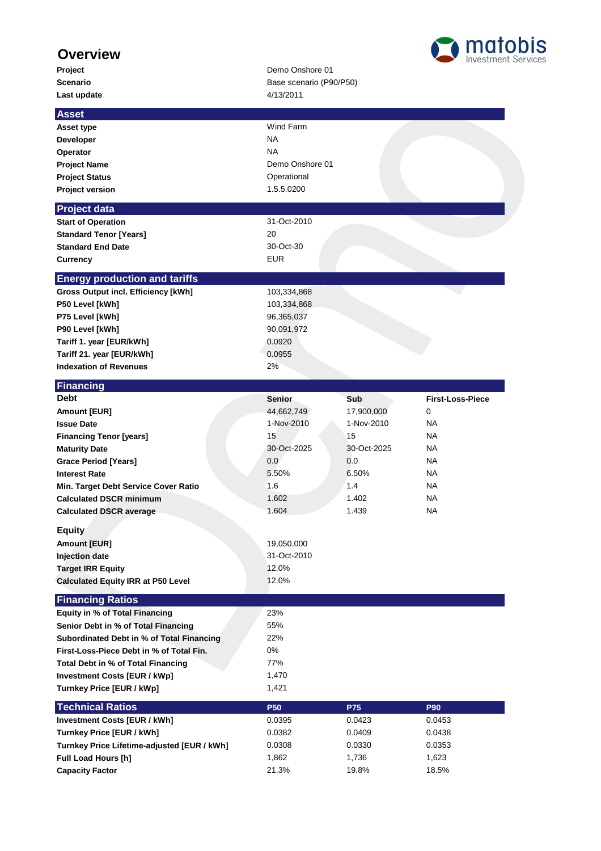## **Overview**

| Project                                     | Demo Onshore 01         |             |                         |
|---------------------------------------------|-------------------------|-------------|-------------------------|
| <b>Scenario</b>                             | Base scenario (P90/P50) |             |                         |
| Last update                                 | 4/13/2011               |             |                         |
| <b>Asset</b>                                |                         |             |                         |
| Asset type                                  | Wind Farm               |             |                         |
| <b>Developer</b>                            | <b>NA</b>               |             |                         |
| Operator                                    | <b>NA</b>               |             |                         |
|                                             | Demo Onshore 01         |             |                         |
| <b>Project Name</b>                         |                         |             |                         |
| <b>Project Status</b>                       | Operational             |             |                         |
| <b>Project version</b>                      | 1.5.5.0200              |             |                         |
| <b>Project data</b>                         |                         |             |                         |
| <b>Start of Operation</b>                   | 31-Oct-2010             |             |                         |
| <b>Standard Tenor [Years]</b>               | 20                      |             |                         |
| <b>Standard End Date</b>                    | 30-Oct-30               |             |                         |
| <b>Currency</b>                             | EUR                     |             |                         |
| <b>Energy production and tariffs</b>        |                         |             |                         |
| <b>Gross Output incl. Efficiency [kWh]</b>  | 103,334,868             |             |                         |
| P50 Level [kWh]                             | 103,334,868             |             |                         |
| P75 Level [kWh]                             | 96,365,037              |             |                         |
| P90 Level [kWh]                             | 90,091,972              |             |                         |
| Tariff 1. year [EUR/kWh]                    | 0.0920                  |             |                         |
| Tariff 21. year [EUR/kWh]                   | 0.0955                  |             |                         |
| <b>Indexation of Revenues</b>               | 2%                      |             |                         |
| Financing                                   |                         |             |                         |
| <b>Debt</b>                                 | <b>Senior</b>           | Sub         | <b>First-Loss-Piece</b> |
| <b>Amount [EUR]</b>                         | 44,662,749              | 17,900,000  | 0                       |
| <b>Issue Date</b>                           | 1-Nov-2010              | 1-Nov-2010  | NA.                     |
| <b>Financing Tenor [years]</b>              | 15                      | 15          | NA.                     |
| <b>Maturity Date</b>                        | 30-Oct-2025             | 30-Oct-2025 | NA.                     |
| <b>Grace Period [Years]</b>                 | 0.0                     | 0.0         | NA.                     |
| <b>Interest Rate</b>                        | 5.50%                   | 6.50%       | NA.                     |
| Min. Target Debt Service Cover Ratio        | 1.6                     | 1.4         | NA.                     |
| <b>Calculated DSCR minimum</b>              | 1.602                   | 1.402       | NA.                     |
|                                             | 1.604                   | 1.439       | NA                      |
| <b>Calculated DSCR average</b>              |                         |             |                         |
| <b>Equity</b>                               |                         |             |                         |
| <b>Amount [EUR]</b>                         | 19,050,000              |             |                         |
| Injection date                              | 31-Oct-2010             |             |                         |
| <b>Target IRR Equity</b>                    | 12.0%                   |             |                         |
| <b>Calculated Equity IRR at P50 Level</b>   | 12.0%                   |             |                         |
| <b>Financing Ratios</b>                     |                         |             |                         |
| <b>Equity in % of Total Financing</b>       | 23%                     |             |                         |
| Senior Debt in % of Total Financing         | 55%                     |             |                         |
| Subordinated Debt in % of Total Financing   | 22%                     |             |                         |
| First-Loss-Piece Debt in % of Total Fin.    | 0%                      |             |                         |
| Total Debt in % of Total Financing          | 77%                     |             |                         |
| <b>Investment Costs [EUR / kWp]</b>         | 1,470                   |             |                         |
| Turnkey Price [EUR / kWp]                   | 1,421                   |             |                         |
| <b>Technical Ratios</b>                     | <b>P50</b>              | <b>P75</b>  | <b>P90</b>              |
| <b>Investment Costs [EUR / kWh]</b>         | 0.0395                  | 0.0423      | 0.0453                  |
| Turnkey Price [EUR / kWh]                   | 0.0382                  | 0.0409      | 0.0438                  |
| Turnkey Price Lifetime-adjusted [EUR / kWh] | 0.0308                  | 0.0330      | 0.0353                  |
| <b>Full Load Hours [h]</b>                  | 1,862                   | 1,736       | 1,623                   |
|                                             |                         |             |                         |

**Capacity Factor** 21.3% 19.8% 18.5%

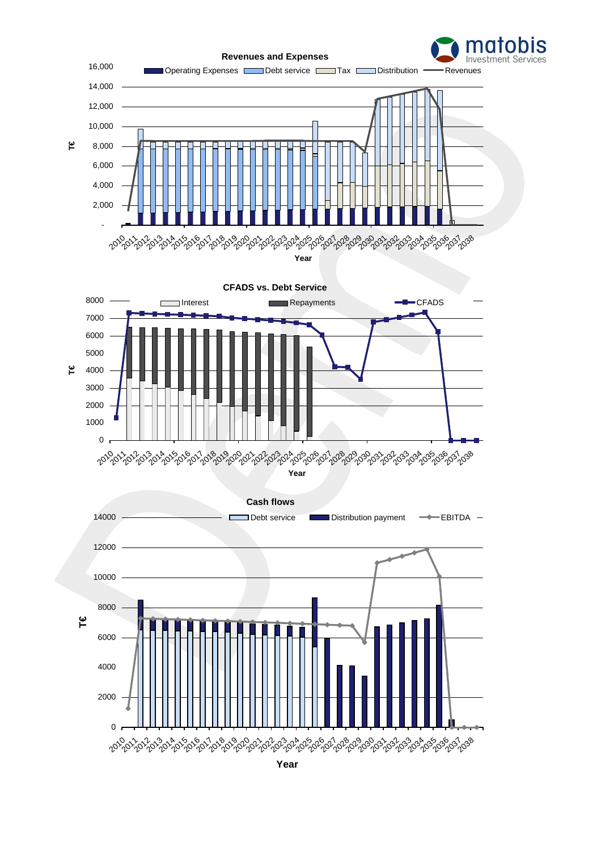

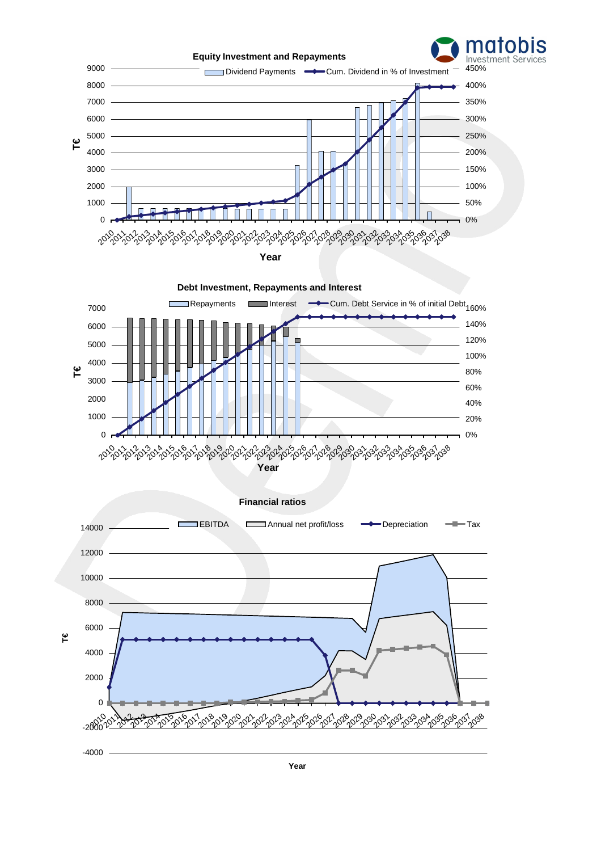

**Year**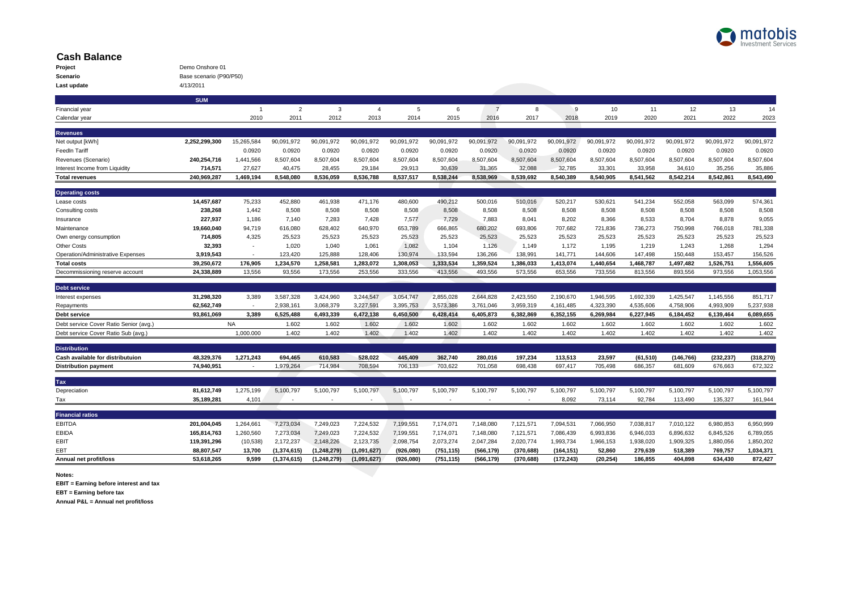

## **Cash Balance**

| Project     | Demo Onshore 01         |
|-------------|-------------------------|
| Scenario    | Base scenario (P90/P50) |
| Last update | 4/13/2011               |

|                                        | <b>SUM</b>    |                |                |               |                |                          |            |                |            |            |            |            |            |            |            |
|----------------------------------------|---------------|----------------|----------------|---------------|----------------|--------------------------|------------|----------------|------------|------------|------------|------------|------------|------------|------------|
| Financial year                         |               | $\overline{1}$ | $\overline{2}$ | 3             | $\overline{4}$ | 5                        | 6          | $\overline{7}$ | 8          | 9          | 10         | 11         | 12         | 13         | 14         |
| Calendar year                          |               | 2010           | 2011           | 2012          | 2013           | 2014                     | 2015       | 2016           | 2017       | 2018       | 2019       | 2020       | 2021       | 2022       | 2023       |
| <b>Revenues</b>                        |               |                |                |               |                |                          |            |                |            |            |            |            |            |            |            |
| Net output [kWh]                       | 2.252.299.300 | 15,265,584     | 90,091,972     | 90,091,972    | 90,091,972     | 90.091.972               | 90,091,972 | 90,091,972     | 90,091,972 | 90,091,972 | 90,091,972 | 90.091.972 | 90,091,972 | 90,091,972 | 90,091,972 |
| FeedIn Tariff                          |               | 0.0920         | 0.0920         | 0.0920        | 0.0920         | 0.0920                   | 0.0920     | 0.0920         | 0.0920     | 0.0920     | 0.0920     | 0.0920     | 0.0920     | 0.0920     | 0.0920     |
| Revenues (Scenario)                    | 240,254,716   | 1,441,566      | 8,507,604      | 8,507,604     | 8,507,604      | 8,507,604                | 8,507,604  | 8,507,604      | 8,507,604  | 8,507,604  | 8,507,604  | 8,507,604  | 8,507,604  | 8,507,604  | 8,507,604  |
| Interest Income from Liquidity         | 714,571       | 27,627         | 40,475         | 28,455        | 29,184         | 29,913                   | 30,639     | 31,365         | 32,088     | 32,785     | 33,301     | 33,958     | 34,610     | 35,256     | 35,886     |
| <b>Total revenues</b>                  | 240,969,287   | 1,469,194      | 8,548,080      | 8,536,059     | 8,536,788      | 8,537,517                | 8,538,244  | 8,538,969      | 8,539,692  | 8,540,389  | 8,540,905  | 8,541,562  | 8,542,214  | 8,542,861  | 8,543,490  |
| <b>Operating costs</b>                 |               |                |                |               |                |                          |            |                |            |            |            |            |            |            |            |
| Lease costs                            | 14,457,687    | 75,233         | 452,880        | 461,938       | 471,176        | 480,600                  | 490,212    | 500,016        | 510,016    | 520,217    | 530,621    | 541,234    | 552,058    | 563,099    | 574,361    |
| Consulting costs                       | 238,268       | 1,442          | 8,508          | 8,508         | 8,508          | 8,508                    | 8,508      | 8,508          | 8,508      | 8,508      | 8,508      | 8,508      | 8,508      | 8,508      | 8,508      |
| Insurance                              | 227,937       | 1,186          | 7,140          | 7,283         | 7,428          | 7,577                    | 7,729      | 7,883          | 8,041      | 8,202      | 8,366      | 8,533      | 8,704      | 8,878      | 9,055      |
| Maintenance                            | 19.660.040    | 94,719         | 616,080        | 628,402       | 640,970        | 653,789                  | 666,865    | 680.202        | 693,806    | 707.682    | 721,836    | 736,273    | 750,998    | 766,018    | 781,338    |
| Own energy consumption                 | 714.805       | 4.325          | 25,523         | 25,523        | 25,523         | 25,523                   | 25,523     | 25,523         | 25,523     | 25,523     | 25,523     | 25.523     | 25.523     | 25,523     | 25,523     |
| <b>Other Costs</b>                     | 32,393        | ٠              | 1.020          | 1.040         | 1,061          | 1,082                    | 1,104      | 1.126          | 1.149      | 1.172      | 1.195      | 1.219      | 1.243      | 1.268      | 1,294      |
| Operation/Administrative Expenses      | 3,919,543     |                | 123,420        | 125,888       | 128,406        | 130,974                  | 133,594    | 136,266        | 138,991    | 141.771    | 144,606    | 147,498    | 150,448    | 153,457    | 156,526    |
| <b>Total costs</b>                     | 39,250,672    | 176,905        | 1,234,570      | 1,258,581     | 1,283,072      | 1,308,053                | 1,333,534  | 1,359,524      | 1,386,033  | 1,413,074  | 1,440,654  | 1,468,787  | 1,497,482  | 1,526,751  | 1,556,605  |
| Decommissioning reserve account        | 24,338,889    | 13,556         | 93,556         | 173,556       | 253,556        | 333,556                  | 413,556    | 493,556        | 573,556    | 653,556    | 733,556    | 813,556    | 893,556    | 973,556    | 1,053,556  |
|                                        |               |                |                |               |                |                          |            |                |            |            |            |            |            |            |            |
| Debt service<br>Interest expenses      | 31,298,320    | 3,389          | 3,587,328      | 3,424,960     | 3,244,547      | 3,054,747                | 2,855,028  | 2,644,828      | 2,423,550  | 2,190,670  | 1,946,595  | 1,692,339  | 1,425,547  | 1,145,556  | 851,717    |
| Repayments                             | 62,562,749    | $\sim$         | 2,938,161      | 3,068,379     | 3,227,591      | 3,395,753                | 3,573,386  | 3,761,046      | 3,959,319  | 4,161,485  | 4,323,390  | 4,535,606  | 4.758.906  | 4.993.909  | 5,237,938  |
| Debt service                           | 93.861.069    | 3.389          | 6,525,488      | 6,493,339     | 6,472,138      | 6,450,500                | 6,428,414  | 6,405,873      | 6,382,869  | 6,352,155  | 6,269,984  | 6,227,945  | 6,184,452  | 6,139,464  | 6,089,655  |
| Debt service Cover Ratio Senior (avg.) |               | <b>NA</b>      | 1.602          | 1.602         | 1.602          | 1.602                    | 1.602      | 1.602          | 1.602      | 1.602      | 1.602      | 1.602      | 1.602      | 1.602      | 1.602      |
| Debt service Cover Ratio Sub (avg.)    |               | 1,000.000      | 1.402          | 1.402         | 1.402          | 1.402                    | 1.402      | 1.402          | 1.402      | 1.402      | 1.402      | 1.402      | 1.402      | 1.402      | 1.402      |
|                                        |               |                |                |               |                |                          |            |                |            |            |            |            |            |            |            |
| <b>Distribution</b>                    |               |                |                |               |                |                          |            |                |            |            |            |            |            |            |            |
| Cash available for distributuion       | 48,329,376    | 1,271,243      | 694,465        | 610,583       | 528,022        | 445,409                  | 362,740    | 280,016        | 197,234    | 113,513    | 23,597     | (61, 510)  | (146, 766) | (232, 237) | (318, 270) |
| <b>Distribution payment</b>            | 74,940,951    | $\sim$         | 1,979,264      | 714,984       | 708,594        | 706,133                  | 703,622    | 701,058        | 698,438    | 697,417    | 705,498    | 686,357    | 681,609    | 676,663    | 672,322    |
| Tax                                    |               |                |                |               |                |                          |            |                |            |            |            |            |            |            |            |
| Depreciation                           | 81,612,749    | 1,275,199      | 5,100,797      | 5,100,797     | 5,100,797      | 5,100,797                | 5,100,797  | 5,100,797      | 5,100,797  | 5,100,797  | 5,100,797  | 5,100,797  | 5,100,797  | 5,100,797  | 5,100,797  |
| Tax                                    | 35,189,281    | 4,101          | $\sim$         | $\sim$        |                | $\overline{\phantom{a}}$ |            |                |            | 8,092      | 73,114     | 92,784     | 113,490    | 135,327    | 161,944    |
| <b>Financial ratios</b>                |               |                |                |               |                |                          |            |                |            |            |            |            |            |            |            |
| <b>EBITDA</b>                          | 201,004,045   | 1,264,661      | 7,273,034      | 7,249,023     | 7,224,532      | 7,199,551                | 7,174,071  | 7,148,080      | 7,121,571  | 7,094,531  | 7,066,950  | 7,038,817  | 7,010,122  | 6,980,853  | 6,950,999  |
| <b>EBIDA</b>                           | 165,814,763   | 1,260,560      | 7,273,034      | 7,249,023     | 7,224,532      | 7,199,551                | 7,174,071  | 7,148,080      | 7,121,571  | 7,086,439  | 6,993,836  | 6,946,033  | 6,896,632  | 6,845,526  | 6,789,055  |
| EBIT                                   | 119,391,296   | (10,538)       | 2,172,237      | 2,148,226     | 2,123,735      | 2,098,754                | 2,073,274  | 2,047,284      | 2,020,774  | 1,993,734  | 1,966,153  | 1,938,020  | 1,909,325  | 1,880,056  | 1,850,202  |
| EBT                                    | 88,807,547    | 13,700         | (1, 374, 615)  | (1, 248, 279) | (1,091,627)    | (926, 080)               | (751, 115) | (566, 179)     | (370, 688) | (164, 151) | 52.860     | 279,639    | 518,389    | 769,757    | 1,034,371  |
| Annual net profit/loss                 | 53,618,265    | 9.599          | (1, 374, 615)  | (1, 248, 279) | (1,091,627)    | (926,080)                | (751, 115) | (566, 179)     | (370, 688) | (172, 243) | (20, 254)  | 186,855    | 404,898    | 634,430    | 872,427    |

**Notes:**

**EBIT = Earning before interest and tax**

**EBT = Earning before tax**

**Annual P&L = Annual net profit/loss**